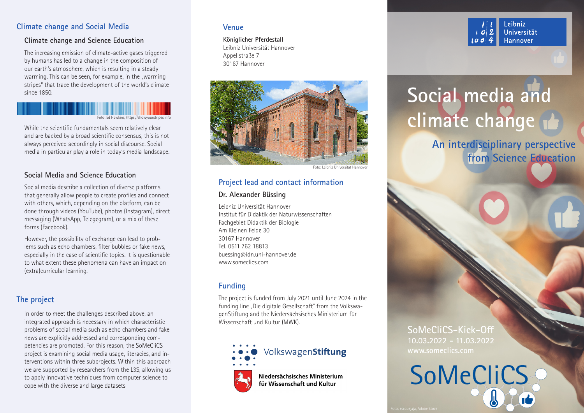# **Climate change and Social Media**

# **Climate change and Science Education**

The increasing emission of climate-active gases triggered by humans has led to a change in the composition of our earth's atmosphere, which is resulting in a steady warming. This can be seen, for example, in the "warming stripes" that trace the development of the world's climate since 1850.

# Foto: Ed Hawkins, https://showyourstripes.info

While the scientific fundamentals seem relatively clear and are backed by a broad scientific consensus, this is not always perceived accordingly in social discourse. Social media in particular play a role in today's media landscape.

# **Social Media and Science Education**

Social media describe a collection of diverse platforms that generally allow people to create profiles and connect with others, which, depending on the platform, can be done through videos (YouTube), photos (Instagram), direct messaging (WhatsApp, Telegegram), or a mix of these forms (Facebook).

However, the possibility of exchange can lead to problems such as echo chambers, filter bubbles or fake news, especially in the case of scientific topics. It is questionable to what extent these phenomena can have an impact on (extra)curricular learning.

# **The project**

In order to meet the challenges described above, an integrated approach is necessary in which characteristic problems of social media such as echo chambers and fake news are explicitly addressed and corresponding competencies are promoted. For this reason, the SoMeCliCS project is examining social media usage, literacies, and interventions within three subprojects. Within this approach we are supported by researchers from the L3S, allowing us to apply innovative techniques from computer science to cope with the diverse and large datasets

# **Venue**

**Königlicher Pferdestall** Leibniz Universität Hannover Appellstraße 7 30167 Hannover



Foto: Leibniz Universität Hannover

# **Project lead and contact information**

## **Dr. Alexander Büssing**

Leibniz Universität Hannover Institut für Didaktik der Naturwissenschaften Fachgebiet Didaktik der Biologie Am Kleinen Felde 30 30167 Hannover Tel. 0511 762 18813 buessing@idn.uni-hannover.de www.someclics.com

# **Funding**

The project is funded from July 2021 until June 2024 in the funding line "Die digitale Gesellschaft" from the VolkswagenStiftung and the Niedersächsisches Ministerium für Wissenschaft und Kultur (MWK).



# **SoMeCliCS-Kick-Off 10.03.2022 - 11.03.2022 www.someclics.com**



#### Leibniz Universität Hannover

# **Social media and climate change**

**An interdisciplinary perspective from Science Education**